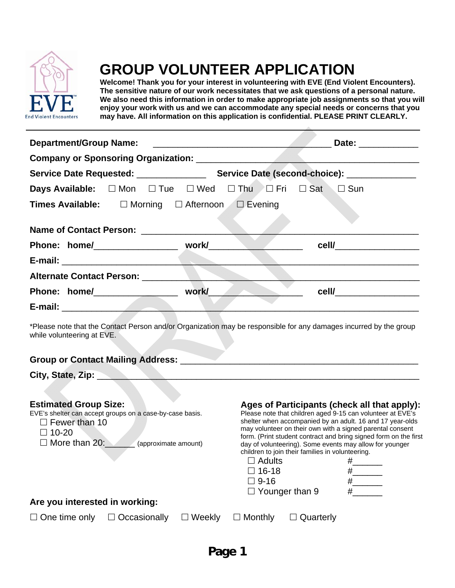

## **GROUP VOLUNTEER APPLICATION**

**Welcome! Thank you for your interest in volunteering with EVE (End Violent Encounters). The sensitive nature of our work necessitates that we ask questions of a personal nature. We also need this information in order to make appropriate job assignments so that you will enjoy your work with us and we can accommodate any special needs or concerns that you may have. All information on this application is confidential. PLEASE PRINT CLEARLY.**

| <b>Department/Group Name:</b>                                                                                                                                                                                   |                                                              |               | <u> Estados de la contrador de la contrador de la contrador de la contrador de la contrador de la contrador de la contrador de la contrador de la contrador de la contrador de la contrador de la contrador de la contrador de l</u>                                                                                                                                                                                                                                                                                           |                  | Date: and the state of the state of the state of the state of the state of the state of the state of the state |  |  |
|-----------------------------------------------------------------------------------------------------------------------------------------------------------------------------------------------------------------|--------------------------------------------------------------|---------------|--------------------------------------------------------------------------------------------------------------------------------------------------------------------------------------------------------------------------------------------------------------------------------------------------------------------------------------------------------------------------------------------------------------------------------------------------------------------------------------------------------------------------------|------------------|----------------------------------------------------------------------------------------------------------------|--|--|
|                                                                                                                                                                                                                 |                                                              |               |                                                                                                                                                                                                                                                                                                                                                                                                                                                                                                                                |                  |                                                                                                                |  |  |
|                                                                                                                                                                                                                 |                                                              |               |                                                                                                                                                                                                                                                                                                                                                                                                                                                                                                                                |                  |                                                                                                                |  |  |
|                                                                                                                                                                                                                 | Days Available: □ Mon □ Tue □ Wed □ Thu □ Fri □ Sat □ Sun    |               |                                                                                                                                                                                                                                                                                                                                                                                                                                                                                                                                |                  |                                                                                                                |  |  |
|                                                                                                                                                                                                                 | <b>Times Available:</b> □ Morning □ Afternoon □ Evening      |               |                                                                                                                                                                                                                                                                                                                                                                                                                                                                                                                                |                  |                                                                                                                |  |  |
|                                                                                                                                                                                                                 |                                                              |               |                                                                                                                                                                                                                                                                                                                                                                                                                                                                                                                                |                  |                                                                                                                |  |  |
|                                                                                                                                                                                                                 |                                                              |               |                                                                                                                                                                                                                                                                                                                                                                                                                                                                                                                                |                  | cell/___________________                                                                                       |  |  |
|                                                                                                                                                                                                                 |                                                              |               |                                                                                                                                                                                                                                                                                                                                                                                                                                                                                                                                |                  |                                                                                                                |  |  |
|                                                                                                                                                                                                                 |                                                              |               |                                                                                                                                                                                                                                                                                                                                                                                                                                                                                                                                |                  |                                                                                                                |  |  |
|                                                                                                                                                                                                                 | Phone: home/_______________________ work/____                |               |                                                                                                                                                                                                                                                                                                                                                                                                                                                                                                                                |                  | cell/____________________                                                                                      |  |  |
|                                                                                                                                                                                                                 |                                                              |               |                                                                                                                                                                                                                                                                                                                                                                                                                                                                                                                                |                  |                                                                                                                |  |  |
| while volunteering at EVE.                                                                                                                                                                                      | Group or Contact Mailing Address: ______                     |               |                                                                                                                                                                                                                                                                                                                                                                                                                                                                                                                                |                  |                                                                                                                |  |  |
|                                                                                                                                                                                                                 | City, State, Zip: 2008. Experience of the City, State, 2014. |               |                                                                                                                                                                                                                                                                                                                                                                                                                                                                                                                                |                  |                                                                                                                |  |  |
| <b>Estimated Group Size:</b><br>EVE's shelter can accept groups on a case-by-case basis.<br>$\Box$ Fewer than 10<br>$\Box$ 10-20<br>$\Box$ More than 20: (approximate amount)<br>Are you interested in working: |                                                              |               | Ages of Participants (check all that apply):<br>Please note that children aged 9-15 can volunteer at EVE's<br>shelter when accompanied by an adult. 16 and 17 year-olds<br>may volunteer on their own with a signed parental consent<br>form. (Print student contract and bring signed form on the first<br>day of volunteering). Some events may allow for younger<br>children to join their families in volunteering.<br>$\Box$ Adults<br>#<br>$\square$ 16-18<br>$\Box$ 9-16<br>$\#$ and $\#$<br>$\Box$ Younger than 9<br># |                  |                                                                                                                |  |  |
| $\Box$ One time only                                                                                                                                                                                            | $\Box$ Occasionally                                          | $\Box$ Weekly | $\Box$ Monthly                                                                                                                                                                                                                                                                                                                                                                                                                                                                                                                 | $\Box$ Quarterly |                                                                                                                |  |  |
|                                                                                                                                                                                                                 |                                                              |               |                                                                                                                                                                                                                                                                                                                                                                                                                                                                                                                                |                  |                                                                                                                |  |  |